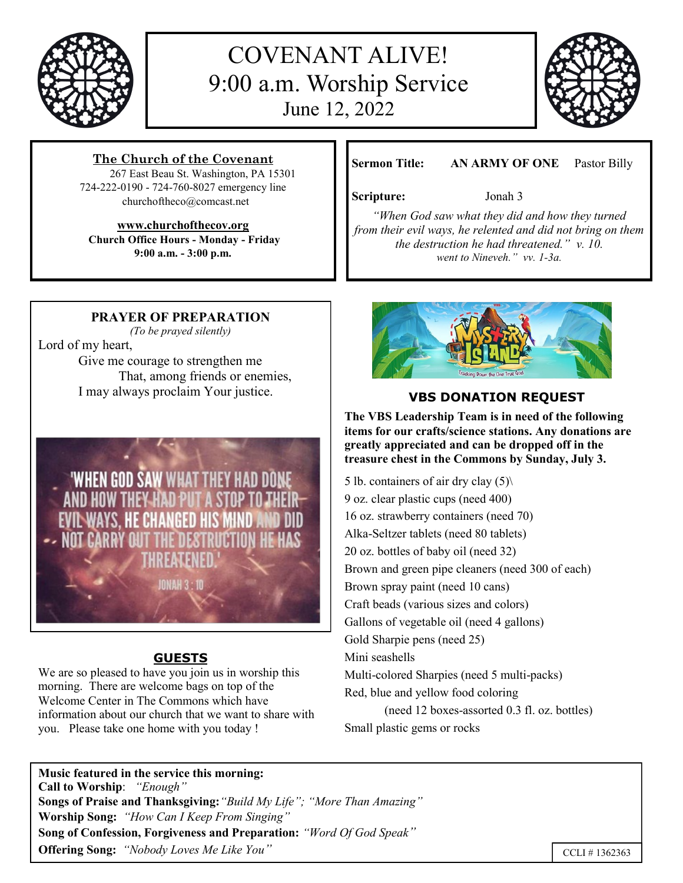

# COVENANT ALIVE! 9:00 a.m. Worship Service June 12, 2022



## **The Church of the Covenant**

 267 East Beau St. Washington, PA 15301 724-222-0190 - 724-760-8027 emergency line churchoftheco@comcast.net

## **www.churchofthecov.org**

**Church Office Hours - Monday - Friday 9:00 a.m. - 3:00 p.m.**

**Sermon Title: AN ARMY OF ONE** Pastor Billy

### **Scripture:** Jonah 3

*"When God saw what they did and how they turned from their evil ways, he relented and did not bring on them the destruction he had threatened." v. 10. went to Nineveh." vv. 1-3a.*

## **PRAYER OF PREPARATION**

*(To be prayed silently)*

Lord of my heart, Give me courage to strengthen me That, among friends or enemies, I may always proclaim Your justice.



## **GUESTS**

We are so pleased to have you join us in worship this morning. There are welcome bags on top of the Welcome Center in The Commons which have information about our church that we want to share with you. Please take one home with you today !



## **VBS DONATION REQUEST**

**The VBS Leadership Team is in need of the following items for our crafts/science stations. Any donations are greatly appreciated and can be dropped off in the treasure chest in the Commons by Sunday, July 3.**

5 lb. containers of air dry clay (5)\ 9 oz. clear plastic cups (need 400) 16 oz. strawberry containers (need 70) Alka-Seltzer tablets (need 80 tablets) 20 oz. bottles of baby oil (need 32) Brown and green pipe cleaners (need 300 of each) Brown spray paint (need 10 cans) Craft beads (various sizes and colors) Gallons of vegetable oil (need 4 gallons) Gold Sharpie pens (need 25) Mini seashells Multi-colored Sharpies (need 5 multi-packs) Red, blue and yellow food coloring (need 12 boxes-assorted 0.3 fl. oz. bottles) Small plastic gems or rocks

**Music featured in the service this morning: Call to Worship**: *"Enough"* **Songs of Praise and Thanksgiving:***"Build My Life"; "More Than Amazing"*  **Worship Song:** *"How Can I Keep From Singing"* **Song of Confession, Forgiveness and Preparation:** *"Word Of God Speak"* **Offering Song:** *"Nobody Loves Me Like You"*